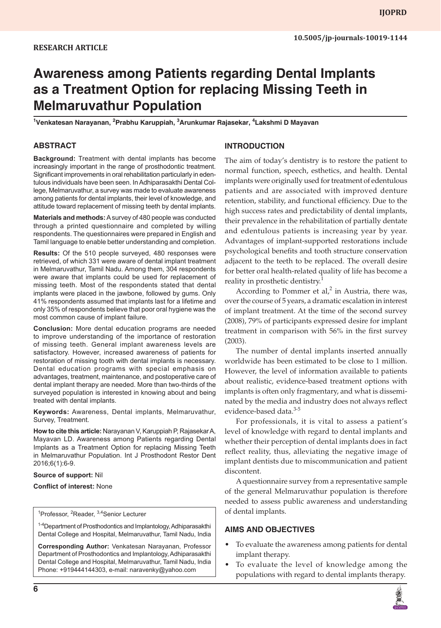# **Awareness among Patients regarding Dental Implants as a Treatment Option for replacing Missing Teeth in Melmaruvathur Population**

**1 Venkatesan Narayanan, <sup>2</sup> Prabhu Karuppiah, 3 Arunkumar Rajasekar, <sup>4</sup> Lakshmi D Mayavan**

#### **ABSTRACT**

**Background:** Treatment with dental implants has become increasingly important in the range of prosthodontic treatment. Significant improvements in oral rehabilitation particularly in edentulous individuals have been seen. In Adhiparasakthi Dental College, Melmaruvathur, a survey was made to evaluate awareness among patients for dental implants, their level of knowledge, and attitude toward replacement of missing teeth by dental implants.

**Materials and methods:** A survey of 480 people was conducted through a printed questionnaire and completed by willing respondents. The questionnaires were prepared in English and Tamil language to enable better understanding and completion.

**Results:** Of the 510 people surveyed, 480 responses were retrieved, of which 331 were aware of dental implant treatment in Melmaruvathur, Tamil Nadu. Among them, 304 respondents were aware that implants could be used for replacement of missing teeth. Most of the respondents stated that dental implants were placed in the jawbone, followed by gums. Only 41% respondents assumed that implants last for a lifetime and only 35% of respondents believe that poor oral hygiene was the most common cause of implant failure.

**Conclusion:** More dental education programs are needed to improve understanding of the importance of restoration of missing teeth. General implant awareness levels are satisfactory. However, increased awareness of patients for restoration of missing tooth with dental implants is necessary. Dental education programs with special emphasis on advantages, treatment, maintenance, and postoperative care of dental implant therapy are needed. More than two-thirds of the surveyed population is interested in knowing about and being treated with dental implants.

**Keywords:** Awareness, Dental implants, Melmaruvathur, Survey, Treatment.

**How to cite this article:** Narayanan V, Karuppiah P, Rajasekar A, Mayavan LD. Awareness among Patients regarding Dental Implants as a Treatment Option for replacing Missing Teeth in Melmaruvathur Population. Int J Prosthodont Restor Dent 2016;6(1):6-9.

#### **Source of support:** Nil

#### **Conflict of interest:** None

<sup>1</sup>Professor, <sup>2</sup>Reader, <sup>3,4</sup>Senior Lecturer

<sup>1-4</sup>Department of Prosthodontics and Implantology, Adhiparasakthi Dental College and Hospital, Melmaruvathur, Tamil Nadu, India

**Corresponding Author:** Venkatesan Narayanan, Professor Department of Prosthodontics and Implantology, Adhiparasakthi Dental College and Hospital, Melmaruvathur, Tamil Nadu, India Phone: +919444144303, e-mail: naravenky@yahoo.com

#### **INTRODUCTION**

The aim of today's dentistry is to restore the patient to normal function, speech, esthetics, and health. Dental implants were originally used for treatment of edentulous patients and are associated with improved denture retention, stability, and functional efficiency. Due to the high success rates and predictability of dental implants, their prevalence in the rehabilitation of partially dentate and edentulous patients is increasing year by year. Advantages of implant-supported restorations include psychological benefits and tooth structure conservation adjacent to the teeth to be replaced. The overall desire for better oral health-related quality of life has become a reality in prosthetic dentistry.<sup>1</sup>

According to Pommer et  $al$ <sup>2</sup> in Austria, there was, over the course of 5 years, a dramatic escalation in interest of implant treatment. At the time of the second survey (2008), 79% of participants expressed desire for implant treatment in comparison with 56% in the first survey (2003).

The number of dental implants inserted annually worldwide has been estimated to be close to 1 million. However, the level of information available to patients about realistic, evidence-based treatment options with implants is often only fragmentary, and what is disseminated by the media and industry does not always reflect evidence-based data.<sup>3-5</sup>

For professionals, it is vital to assess a patient's level of knowledge with regard to dental implants and whether their perception of dental implants does in fact reflect reality, thus, alleviating the negative image of implant dentists due to miscommunication and patient discontent.

A questionnaire survey from a representative sample of the general Melmaruvathur population is therefore needed to assess public awareness and understanding of dental implants.

#### **AIMS AND OBJECTIVES**

- To evaluate the awareness among patients for dental implant therapy.
- • To evaluate the level of knowledge among the populations with regard to dental implants therapy.

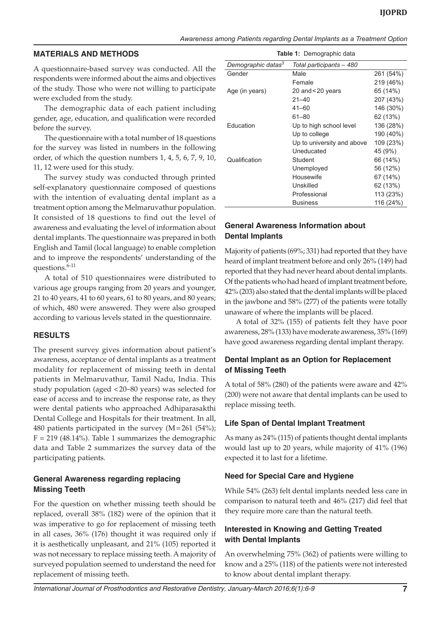#### **MATERIALS AND METHODS**

A questionnaire-based survey was conducted. All the respondents were informed about the aims and objectives of the study. Those who were not willing to participate were excluded from the study.

The demographic data of each patient including gender, age, education, and qualification were recorded before the survey.

The questionnaire with a total number of 18 questions for the survey was listed in numbers in the following order, of which the question numbers 1, 4, 5, 6, 7, 9, 10, 11, 12 were used for this study.

The survey study was conducted through printed self-explanatory questionnaire composed of questions with the intention of evaluating dental implant as a treatment option among the Melmaruvathur population. It consisted of 18 questions to find out the level of awareness and evaluating the level of information about dental implants. The questionnaire was prepared in both English and Tamil (local language) to enable completion and to improve the respondents' understanding of the questions.<sup>6-11</sup>

A total of 510 questionnaires were distributed to various age groups ranging from 20 years and younger, 21 to 40 years, 41 to 60 years, 61 to 80 years, and 80 years; of which, 480 were answered. They were also grouped according to various levels stated in the questionnaire.

#### **RESULTS**

The present survey gives information about patient's awareness, acceptance of dental implants as a treatment modality for replacement of missing teeth in dental patients in Melmaruvathur, Tamil Nadu, India. This study population (aged <20–80 years) was selected for ease of access and to increase the response rate, as they were dental patients who approached Adhiparasakthi Dental College and Hospitals for their treatment. In all, 480 patients participated in the survey  $(M=261 \ (54\%)$ ;  $F = 219$  (48.14%). Table 1 summarizes the demographic data and Table 2 summarizes the survey data of the participating patients.

## **General Awareness regarding replacing Missing Teeth**

For the question on whether missing teeth should be replaced, overall 38% (182) were of the opinion that it was imperative to go for replacement of missing teeth in all cases, 36% (176) thought it was required only if it is aesthetically unpleasant, and 21% (105) reported it was not necessary to replace missing teeth. A majority of surveyed population seemed to understand the need for replacement of missing teeth.

| <b>Table 1:</b> Demographic data                           |                            |           |  |  |  |
|------------------------------------------------------------|----------------------------|-----------|--|--|--|
| Demographic datas <sup>3</sup><br>Total participants - 480 |                            |           |  |  |  |
| Gender                                                     | Male                       | 261 (54%) |  |  |  |
|                                                            | Female                     | 219 (46%) |  |  |  |
| Age (in years)                                             | 20 and $<$ 20 years        | 65 (14%)  |  |  |  |
|                                                            | $21 - 40$                  | 207 (43%) |  |  |  |
|                                                            | $41 - 60$                  | 146 (30%) |  |  |  |
|                                                            | $61 - 80$                  | 62 (13%)  |  |  |  |
| Education                                                  | Up to high school level    | 136 (28%) |  |  |  |
|                                                            | Up to college              | 190 (40%) |  |  |  |
|                                                            | Up to university and above | 109 (23%) |  |  |  |
|                                                            | Uneducated                 | 45 (9%)   |  |  |  |
| Qualification                                              | Student                    | 66 (14%)  |  |  |  |
|                                                            | Unemployed                 | 56 (12%)  |  |  |  |
|                                                            | Housewife                  | 67 (14%)  |  |  |  |
|                                                            | Unskilled                  | 62 (13%)  |  |  |  |
|                                                            | Professional               | 113 (23%) |  |  |  |
|                                                            | <b>Business</b>            | 116 (24%) |  |  |  |

## **General Awareness Information about Dental Implants**

Majority of patients (69%; 331) had reported that they have heard of implant treatment before and only 26% (149) had reported that they had never heard about dental implants. Of the patients who had heard of implant treatment before, 42% (203) also stated that the dental implants will be placed in the jawbone and 58% (277) of the patients were totally unaware of where the implants will be placed.

A total of 32% (155) of patients felt they have poor awareness, 28% (133) have moderate awareness, 35% (169) have good awareness regarding dental implant therapy.

### **Dental Implant as an Option for Replacement of Missing Teeth**

A total of 58% (280) of the patients were aware and 42% (200) were not aware that dental implants can be used to replace missing teeth.

## **Life Span of Dental Implant Treatment**

As many as 24% (115) of patients thought dental implants would last up to 20 years, while majority of 41% (196) expected it to last for a lifetime.

#### **Need for Special Care and Hygiene**

While 54% (263) felt dental implants needed less care in comparison to natural teeth and 46% (217) did feel that they require more care than the natural teeth.

## **Interested in Knowing and Getting Treated with Dental Implants**

An overwhelming 75% (362) of patients were willing to know and a 25% (118) of the patients were not interested to know about dental implant therapy.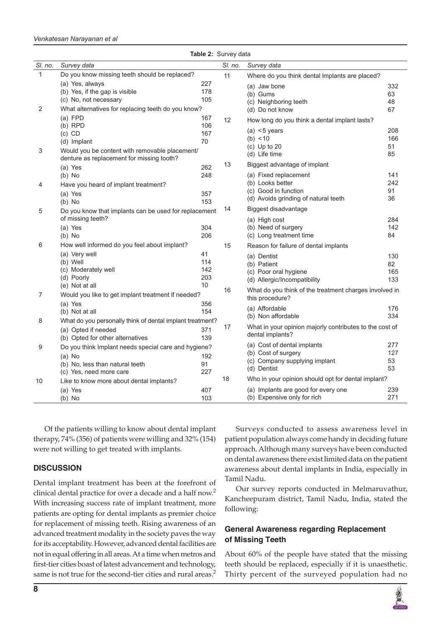#### *Venkatesan Narayanan et al*

| Table 2: Survey data |                                                                                                                                  |                               |         |                                                                                                                              |                         |  |  |  |
|----------------------|----------------------------------------------------------------------------------------------------------------------------------|-------------------------------|---------|------------------------------------------------------------------------------------------------------------------------------|-------------------------|--|--|--|
| SI. no.              | Survey data                                                                                                                      |                               | SI. no. | Survey data                                                                                                                  |                         |  |  |  |
| 1                    | Do you know missing teeth should be replaced?                                                                                    |                               | 11      | Where do you think dental implants are placed?                                                                               |                         |  |  |  |
| 2                    | (a) Yes, always<br>(b) Yes, if the gap is visible<br>(c) No, not necessary<br>What alternatives for replacing teeth do you know? | 227<br>178<br>105             |         | (a) Jaw bone<br>(b) Gums<br>(c) Neighboring teeth<br>(d) Do not know                                                         | 332<br>63<br>48<br>67   |  |  |  |
| 3                    | $(a)$ FPD<br>$(b)$ RPD<br>$(c)$ CD<br>(d) Implant<br>Would you be content with removable placement/                              | 167<br>106<br>167<br>70       | 12      | How long do you think a dental implant lasts?<br>(a) $<$ 5 years<br>(b) < 10<br>$(c)$ Up to 20<br>(d) Life time              | 208<br>166<br>51<br>85  |  |  |  |
|                      | denture as replacement for missing tooth?<br>(a) Yes                                                                             | 262                           | 13      | Biggest advantage of implant                                                                                                 |                         |  |  |  |
| 4                    | $(b)$ No<br>Have you heard of implant treatment?<br>(a) Yes<br>$(b)$ No                                                          | 248<br>357<br>153             |         | (a) Fixed replacement<br>(b) Looks better<br>(c) Good in function<br>(d) Avoids grinding of natural teeth                    | 141<br>242<br>91<br>36  |  |  |  |
| 5                    | Do you know that implants can be used for replacement<br>of missing teeth?                                                       |                               | 14      | Biggest disadvantage<br>(a) High cost                                                                                        | 284                     |  |  |  |
|                      | (a) Yes<br>$(b)$ No                                                                                                              | 304<br>206                    |         | (b) Need of surgery<br>(c) Long treatment time                                                                               | 142<br>84               |  |  |  |
| 6                    | How well informed do you feel about implant?<br>(a) Very well<br>(b) Well<br>(c) Moderately well<br>(d) Poorly<br>(e) Not at all | 41<br>114<br>142<br>203<br>10 | 15      | Reason for failure of dental implants<br>(a) Dentist<br>(b) Patient<br>(c) Poor oral hygiene<br>(d) Allergic/Incompatibility | 130<br>82<br>165<br>133 |  |  |  |
| 7                    | Would you like to get implant treatment if needed?<br>(a) Yes                                                                    | 16<br>356                     |         | What do you think of the treatment charges involved in<br>this procedure?                                                    |                         |  |  |  |
| 8                    | (b) Not at all<br>What do you personally think of dental implant treatment?                                                      | 154                           |         | (a) Affordable<br>(b) Non affordable                                                                                         | 176<br>334              |  |  |  |
|                      | (a) Opted if needed<br>(b) Opted for other alternatives                                                                          | 371<br>139                    | 17      | What in your opinion majorly contributes to the cost of<br>dental implants?                                                  |                         |  |  |  |
| 9                    | Do you think Implant needs special care and hygiene?<br>$(a)$ No<br>(b) No, less than natural teeth<br>(c) Yes, need more care   | 192<br>91<br>227              |         | (a) Cost of dental implants<br>(b) Cost of surgery<br>(c) Company supplying implant<br>(d) Dentist                           | 277<br>127<br>53<br>53  |  |  |  |
| 10                   | Like to know more about dental implants?<br>(a) Yes<br>$(b)$ No                                                                  | 407<br>103                    | 18      | Who in your opinion should opt for dental implant?<br>(a) Implants are good for every one<br>(b) Expensive only for rich     | 239<br>271              |  |  |  |

Of the patients willing to know about dental implant therapy, 74% (356) of patients were willing and 32% (154) were not willing to get treated with implants.

#### **DISCUSSION**

Dental implant treatment has been at the forefront of clinical dental practice for over a decade and a half now.<sup>2</sup> With increasing success rate of implant treatment, more patients are opting for dental implants as premier choice for replacement of missing teeth. Rising awareness of an advanced treatment modality in the society paves the way for its acceptability. However, advanced dental facilities are not in equal offering in all areas. At a time when metros and first-tier cities boast of latest advancement and technology, same is not true for the second-tier cities and rural areas.<sup>2</sup>

Surveys conducted to assess awareness level in patient population always come handy in deciding future approach. Although many surveys have been conducted on dental awareness there exist limited data on the patient awareness about dental implants in India, especially in Tamil Nadu.

Our survey reports conducted in Melmaruvathur, Kancheepuram district, Tamil Nadu, India, stated the following:

## **General Awareness regarding Replacement of Missing Teeth**

About 60% of the people have stated that the missing teeth should be replaced, especially if it is unaesthetic. Thirty percent of the surveyed population had no